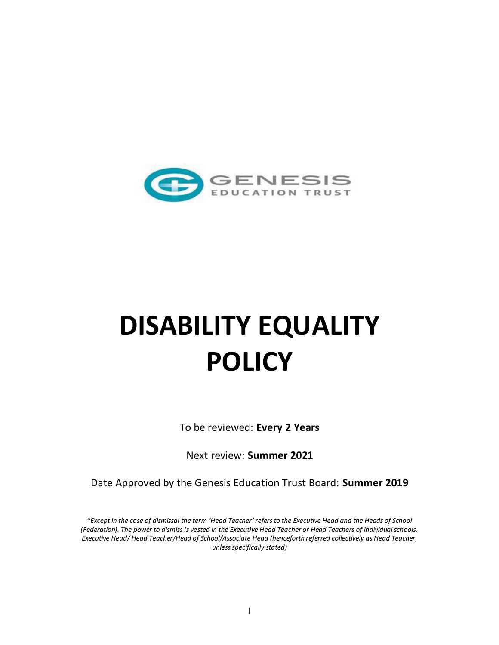

# **DISABILITY EQUALITY POLICY**

To be reviewed: **Every 2 Years** 

Next review: **Summer 2021** 

Date Approved by the Genesis Education Trust Board: **Summer 2019**

*\*Except in the case of dismissal the term 'Head Teacher' refers to the Executive Head and the Heads of School (Federation). The power to dismiss is vested in the Executive Head Teacher or Head Teachers of individual schools. Executive Head/ Head Teacher/Head of School/Associate Head (henceforth referred collectively as Head Teacher, unless specifically stated)*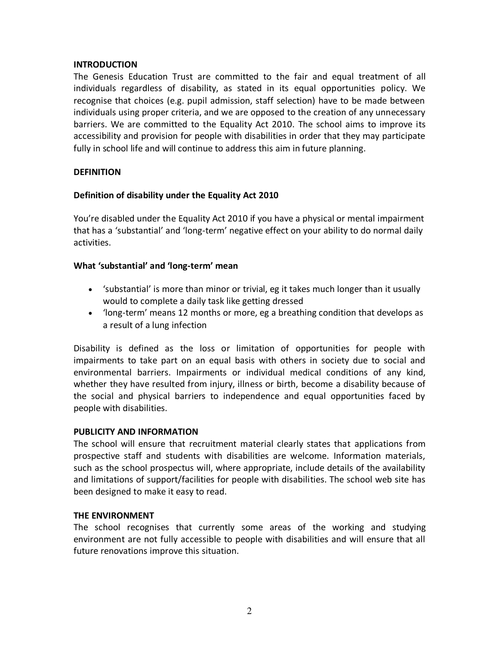## **INTRODUCTION**

The Genesis Education Trust are committed to the fair and equal treatment of all individuals regardless of disability, as stated in its equal opportunities policy. We recognise that choices (e.g. pupil admission, staff selection) have to be made between individuals using proper criteria, and we are opposed to the creation of any unnecessary barriers. We are committed to the Equality Act 2010. The school aims to improve its accessibility and provision for people with disabilities in order that they may participate fully in school life and will continue to address this aim in future planning.

# **DEFINITION**

# **Definition of disability under the Equality Act 2010**

You're disabled under the Equality Act 2010 if you have a physical or mental impairment that has a 'substantial' and 'long-term' negative effect on your ability to do normal daily activities.

## **What 'substantial' and 'long-term' mean**

- 'substantial' is more than minor or trivial, eg it takes much longer than it usually would to complete a daily task like getting dressed
- 'long-term' means 12 months or more, eg a breathing condition that develops as a result of a lung infection

Disability is defined as the loss or limitation of opportunities for people with impairments to take part on an equal basis with others in society due to social and environmental barriers. Impairments or individual medical conditions of any kind, whether they have resulted from injury, illness or birth, become a disability because of the social and physical barriers to independence and equal opportunities faced by people with disabilities.

## **PUBLICITY AND INFORMATION**

The school will ensure that recruitment material clearly states that applications from prospective staff and students with disabilities are welcome. Information materials, such as the school prospectus will, where appropriate, include details of the availability and limitations of support/facilities for people with disabilities. The school web site has been designed to make it easy to read.

## **THE ENVIRONMENT**

The school recognises that currently some areas of the working and studying environment are not fully accessible to people with disabilities and will ensure that all future renovations improve this situation.